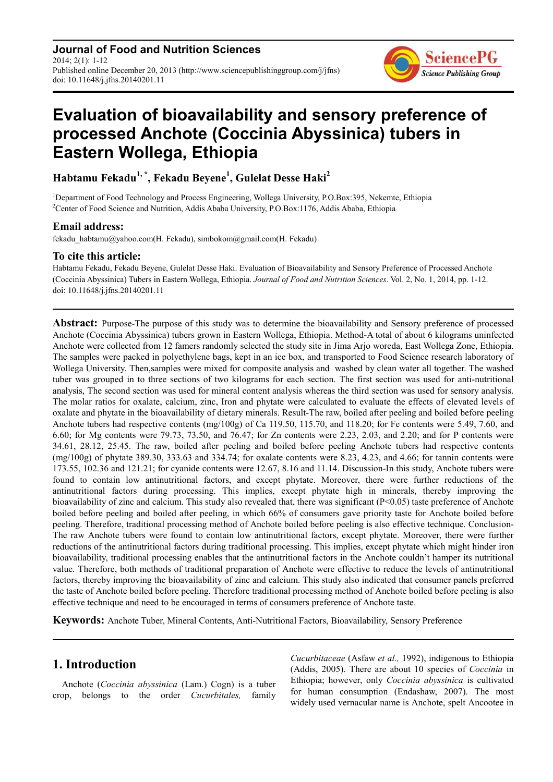**Journal of Food and Nutrition Sciences** 2014; 2(1): 1-12 Published online December 20, 2013 (http://www.sciencepublishinggroup.com/j/jfns) doi: 10.11648/j.jfns.20140201.11



# **Evaluation of bioavailability and sensory preference of processed Anchote (Coccinia Abyssinica) tubers in Eastern Wollega, Ethiopia**

**Habtamu Fekadu1, \*, Fekadu Beyene<sup>1</sup> , Gulelat Desse Haki<sup>2</sup>**

<sup>1</sup>Department of Food Technology and Process Engineering, Wollega University, P.O.Box:395, Nekemte, Ethiopia <sup>2</sup>Center of Food Science and Nutrition, Addis Ababa University, P.O.Box:1176, Addis Ababa, Ethiopia

## **Email address:**

fekadu\_habtamu@yahoo.com(H. Fekadu), simbokom@gmail.com(H. Fekadu)

## **To cite this article:**

Habtamu Fekadu, Fekadu Beyene, Gulelat Desse Haki. Evaluation of Bioavailability and Sensory Preference of Processed Anchote (Coccinia Abyssinica) Tubers in Eastern Wollega, Ethiopia. *Journal of Food and Nutrition Sciences*. Vol. 2, No. 1, 2014, pp. 1-12. doi: 10.11648/j.jfns.20140201.11

**Abstract:** Purpose-The purpose of this study was to determine the bioavailability and Sensory preference of processed Anchote (Coccinia Abyssinica) tubers grown in Eastern Wollega, Ethiopia. Method-A total of about 6 kilograms uninfected Anchote were collected from 12 famers randomly selected the study site in Jima Arjo woreda, East Wollega Zone, Ethiopia. The samples were packed in polyethylene bags, kept in an ice box, and transported to Food Science research laboratory of Wollega University. Then,samples were mixed for composite analysis and washed by clean water all together. The washed tuber was grouped in to three sections of two kilograms for each section. The first section was used for anti-nutritional analysis, The second section was used for mineral content analysis whereas the third section was used for sensory analysis. The molar ratios for oxalate, calcium, zinc, Iron and phytate were calculated to evaluate the effects of elevated levels of oxalate and phytate in the bioavailability of dietary minerals. Result-The raw, boiled after peeling and boiled before peeling Anchote tubers had respective contents (mg/100g) of Ca 119.50, 115.70, and 118.20; for Fe contents were 5.49, 7.60, and 6.60; for Mg contents were 79.73, 73.50, and 76.47; for Zn contents were 2.23, 2.03, and 2.20; and for P contents were 34.61, 28.12, 25.45. The raw, boiled after peeling and boiled before peeling Anchote tubers had respective contents (mg/100g) of phytate 389.30, 333.63 and 334.74; for oxalate contents were 8.23, 4.23, and 4.66; for tannin contents were 173.55, 102.36 and 121.21; for cyanide contents were 12.67, 8.16 and 11.14. Discussion-In this study, Anchote tubers were found to contain low antinutritional factors, and except phytate. Moreover, there were further reductions of the antinutritional factors during processing. This implies, except phytate high in minerals, thereby improving the bioavailability of zinc and calcium. This study also revealed that, there was significant (P<0.05) taste preference of Anchote boiled before peeling and boiled after peeling, in which 66% of consumers gave priority taste for Anchote boiled before peeling. Therefore, traditional processing method of Anchote boiled before peeling is also effective technique. Conclusion-The raw Anchote tubers were found to contain low antinutritional factors, except phytate. Moreover, there were further reductions of the antinutritional factors during traditional processing. This implies, except phytate which might hinder iron bioavailability, traditional processing enables that the antinutritional factors in the Anchote couldn't hamper its nutritional value. Therefore, both methods of traditional preparation of Anchote were effective to reduce the levels of antinutritional factors, thereby improving the bioavailability of zinc and calcium. This study also indicated that consumer panels preferred the taste of Anchote boiled before peeling. Therefore traditional processing method of Anchote boiled before peeling is also effective technique and need to be encouraged in terms of consumers preference of Anchote taste.

**Keywords:** Anchote Tuber, Mineral Contents, Anti-Nutritional Factors, Bioavailability, Sensory Preference

## **1. Introduction**

Anchote (*Coccinia abyssinica* (Lam.) Cogn) is a tuber crop, belongs to the order *Cucurbitales,* family

*Cucurbitaceae* (Asfaw *et al.,* 1992), indigenous to Ethiopia (Addis, 2005). There are about 10 species of *Coccinia* in Ethiopia; however, only *Coccinia abyssinica* is cultivated for human consumption (Endashaw, 2007). The most widely used vernacular name is Anchote, spelt Ancootee in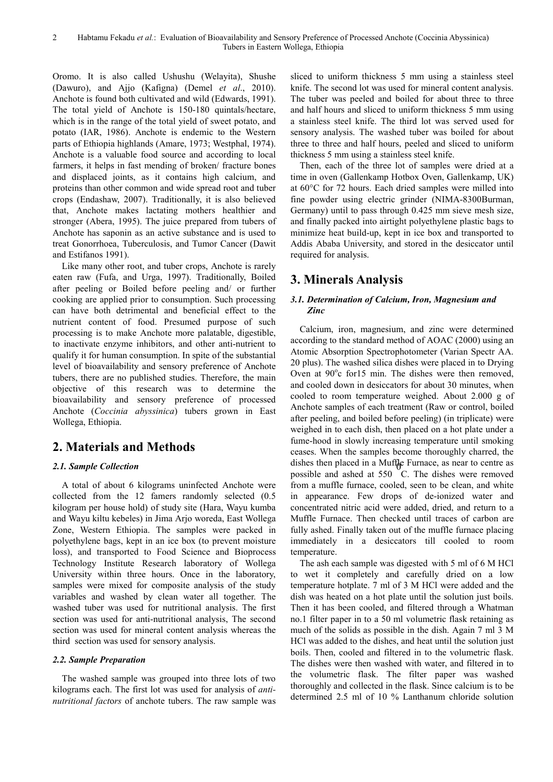Oromo. It is also called Ushushu (Welayita), Shushe (Dawuro), and Ajjo (Kafigna) (Demel *et al*., 2010). Anchote is found both cultivated and wild (Edwards, 1991). The total yield of Anchote is 150-180 quintals/hectare, which is in the range of the total yield of sweet potato, and potato (IAR, 1986). Anchote is endemic to the Western parts of Ethiopia highlands (Amare, 1973; Westphal, 1974). Anchote is a valuable food source and according to local farmers, it helps in fast mending of broken/ fracture bones and displaced joints, as it contains high calcium, and proteins than other common and wide spread root and tuber crops (Endashaw, 2007). Traditionally, it is also believed that, Anchote makes lactating mothers healthier and stronger (Abera, 1995). The juice prepared from tubers of Anchote has saponin as an active substance and is used to treat Gonorrhoea, Tuberculosis, and Tumor Cancer (Dawit and Estifanos 1991).

Like many other root, and tuber crops, Anchote is rarely eaten raw (Fufa, and Urga, 1997). Traditionally, Boiled after peeling or Boiled before peeling and/ or further cooking are applied prior to consumption. Such processing can have both detrimental and beneficial effect to the nutrient content of food. Presumed purpose of such processing is to make Anchote more palatable, digestible, to inactivate enzyme inhibitors, and other anti-nutrient to qualify it for human consumption. In spite of the substantial level of bioavailability and sensory preference of Anchote tubers, there are no published studies. Therefore, the main objective of this research was to determine the bioavailability and sensory preference of processed Anchote (*Coccinia abyssinica*) tubers grown in East Wollega, Ethiopia.

## **2. Materials and Methods**

## *2.1. Sample Collection*

A total of about 6 kilograms uninfected Anchote were collected from the 12 famers randomly selected (0.5 kilogram per house hold) of study site (Hara, Wayu kumba and Wayu kiltu kebeles) in Jima Arjo woreda, East Wollega Zone, Western Ethiopia. The samples were packed in polyethylene bags, kept in an ice box (to prevent moisture loss), and transported to Food Science and Bioprocess Technology Institute Research laboratory of Wollega University within three hours. Once in the laboratory, samples were mixed for composite analysis of the study variables and washed by clean water all together. The washed tuber was used for nutritional analysis. The first section was used for anti-nutritional analysis, The second section was used for mineral content analysis whereas the third section was used for sensory analysis.

## *2.2. Sample Preparation*

The washed sample was grouped into three lots of two kilograms each. The first lot was used for analysis of *antinutritional fact*o*rs* of anchote tubers. The raw sample was

sliced to uniform thickness 5 mm using a stainless steel knife. The second lot was used for mineral content analysis. The tuber was peeled and boiled for about three to three and half hours and sliced to uniform thickness 5 mm using a stainless steel knife. The third lot was served used for sensory analysis. The washed tuber was boiled for about three to three and half hours, peeled and sliced to uniform thickness 5 mm using a stainless steel knife.

Then, each of the three lot of samples were dried at a time in oven (Gallenkamp Hotbox Oven, Gallenkamp, UK) at 60°C for 72 hours. Each dried samples were milled into fine powder using electric grinder (NIMA-8300Burman, Germany) until to pass through 0.425 mm sieve mesh size, and finally packed into airtight polyethylene plastic bags to minimize heat build-up, kept in ice box and transported to Addis Ababa University, and stored in the desiccator until required for analysis.

## **3. Minerals Analysis**

## *3.1. Determination of Calcium, Iron, Magnesium and Zinc*

Calcium, iron, magnesium, and zinc were determined according to the standard method of AOAC (2000) using an Atomic Absorption Spectrophotometer (Varian Spectr AA. 20 plus). The washed silica dishes were placed in to Drying Oven at 90°c for15 min. The dishes were then removed, and cooled down in desiccators for about 30 minutes, when cooled to room temperature weighed. About 2.000 g of Anchote samples of each treatment (Raw or control, boiled after peeling, and boiled before peeling) (in triplicate) were weighed in to each dish, then placed on a hot plate under a fume-hood in slowly increasing temperature until smoking ceases. When the samples become thoroughly charred, the dishes then placed in a Muffle Furnace, as near to centre as  $\frac{1}{2}$ possible and ashed at 550 C. The dishes were removed from a muffle furnace, cooled, seen to be clean, and white in appearance. Few drops of de-ionized water and concentrated nitric acid were added, dried, and return to a Muffle Furnace. Then checked until traces of carbon are fully ashed. Finally taken out of the muffle furnace placing immediately in a desiccators till cooled to room temperature.

The ash each sample was digested with 5 ml of 6 M HCl to wet it completely and carefully dried on a low temperature hotplate. 7 ml of 3 M HCl were added and the dish was heated on a hot plate until the solution just boils. Then it has been cooled, and filtered through a Whatman no.1 filter paper in to a 50 ml volumetric flask retaining as much of the solids as possible in the dish. Again 7 ml 3 M HCl was added to the dishes, and heat until the solution just boils. Then, cooled and filtered in to the volumetric flask. The dishes were then washed with water, and filtered in to the volumetric flask. The filter paper was washed thoroughly and collected in the flask. Since calcium is to be determined 2.5 ml of 10 % Lanthanum chloride solution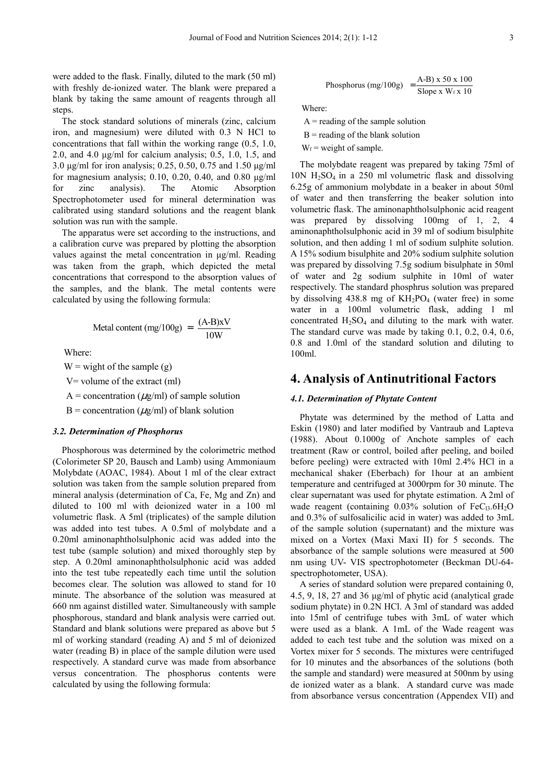were added to the flask. Finally, diluted to the mark (50 ml) with freshly de-ionized water. The blank were prepared a blank by taking the same amount of reagents through all steps.

The stock standard solutions of minerals (zinc, calcium iron, and magnesium) were diluted with 0.3 N HCl to concentrations that fall within the working range (0.5, 1.0, 2.0, and 4.0 µg/ml for calcium analysis; 0.5, 1.0, 1.5, and 3.0 µg/ml for iron analysis; 0.25, 0.50, 0.75 and 1.50 µg/ml for magnesium analysis; 0.10, 0.20, 0.40, and 0.80  $\mu$ g/ml for zinc analysis). The Atomic Absorption Spectrophotometer used for mineral determination was calibrated using standard solutions and the reagent blank solution was run with the sample.

The apparatus were set according to the instructions, and a calibration curve was prepared by plotting the absorption values against the metal concentration in µg/ml. Reading was taken from the graph, which depicted the metal concentrations that correspond to the absorption values of the samples, and the blank. The metal contents were calculated by using the following formula:

$$
Metal content (mg/100g) = \frac{(A-B)xV}{10W}
$$

Where:

 $W =$  wight of the sample (g)

V= volume of the extract (ml)

A = concentration ( $\mu$ g/ml) of sample solution

B = concentration ( $\mu$ g/ml) of blank solution

#### *3.2. Determination of Phosphorus*

Phosphorous was determined by the colorimetric method (Colorimeter SP 20, Bausch and Lamb) using Ammoniaum Molybdate (AOAC, 1984). About 1 ml of the clear extract solution was taken from the sample solution prepared from mineral analysis (determination of Ca, Fe, Mg and Zn) and diluted to 100 ml with deionized water in a 100 ml volumetric flask. A 5ml (triplicates) of the sample dilution was added into test tubes. A 0.5ml of molybdate and a 0.20ml aminonaphtholsulphonic acid was added into the test tube (sample solution) and mixed thoroughly step by step. A 0.20ml aminonaphtholsulphonic acid was added into the test tube repeatedly each time until the solution becomes clear. The solution was allowed to stand for 10 minute. The absorbance of the solution was measured at 660 nm against distilled water. Simultaneously with sample phosphorous, standard and blank analysis were carried out. Standard and blank solutions were prepared as above but 5 ml of working standard (reading A) and 5 ml of deionized water (reading B) in place of the sample dilution were used respectively. A standard curve was made from absorbance versus concentration. The phosphorus contents were calculated by using the following formula:

Phosphorus (mg/100g) = 
$$
\frac{A-B}{\text{Slope x Wf x 10}}
$$

Where:

 $A =$  reading of the sample solution

 $B =$  reading of the blank solution

 $W_f$  = weight of sample.

The molybdate reagent was prepared by taking 75ml of  $10N H<sub>2</sub>SO<sub>4</sub>$  in a 250 ml volumetric flask and dissolving 6.25g of ammonium molybdate in a beaker in about 50ml of water and then transferring the beaker solution into volumetric flask. The aminonaphtholsulphonic acid reagent was prepared by dissolving 100mg of 1, 2, 4 aminonaphtholsulphonic acid in 39 ml of sodium bisulphite solution, and then adding 1 ml of sodium sulphite solution. A 15% sodium bisulphite and 20% sodium sulphite solution was prepared by dissolving 7.5g sodium bisulphate in 50ml of water and 2g sodium sulphite in 10ml of water respectively. The standard phosphrus solution was prepared by dissolving 438.8 mg of  $KH_2PO_4$  (water free) in some water in a 100ml volumetric flask, adding 1 ml concentrated  $H_2SO_4$  and diluting to the mark with water. The standard curve was made by taking 0.1, 0.2, 0.4, 0.6, 0.8 and 1.0ml of the standard solution and diluting to 100ml.

## **4. Analysis of Antinutritional Factors**

#### *4.1. Determination of Phytate Content*

Phytate was determined by the method of Latta and Eskin (1980) and later modified by Vantraub and Lapteva (1988). About 0.1000g of Anchote samples of each treatment (Raw or control, boiled after peeling, and boiled before peeling) were extracted with 10ml 2.4% HCl in a mechanical shaker (Eberbach) for 1hour at an ambient temperature and centrifuged at 3000rpm for 30 minute. The clear supernatant was used for phytate estimation. A 2ml of wade reagent (containing  $0.03\%$  solution of FeC<sub>13</sub>.6H<sub>2</sub>O and 0.3% of sulfosalicilic acid in water) was added to 3mL of the sample solution (supernatant) and the mixture was mixed on a Vortex (Maxi Maxi II) for 5 seconds. The absorbance of the sample solutions were measured at 500 nm using UV- VIS spectrophotometer (Beckman DU-64 spectrophotometer, USA).

A series of standard solution were prepared containing 0, 4.5, 9, 18, 27 and 36 µg/ml of phytic acid (analytical grade sodium phytate) in 0.2N HCl. A 3ml of standard was added into 15ml of centrifuge tubes with 3mL of water which were used as a blank. A 1mL of the Wade reagent was added to each test tube and the solution was mixed on a Vortex mixer for 5 seconds. The mixtures were centrifuged for 10 minutes and the absorbances of the solutions (both the sample and standard) were measured at 500nm by using de ionized water as a blank. A standard curve was made from absorbance versus concentration (Appendex VII) and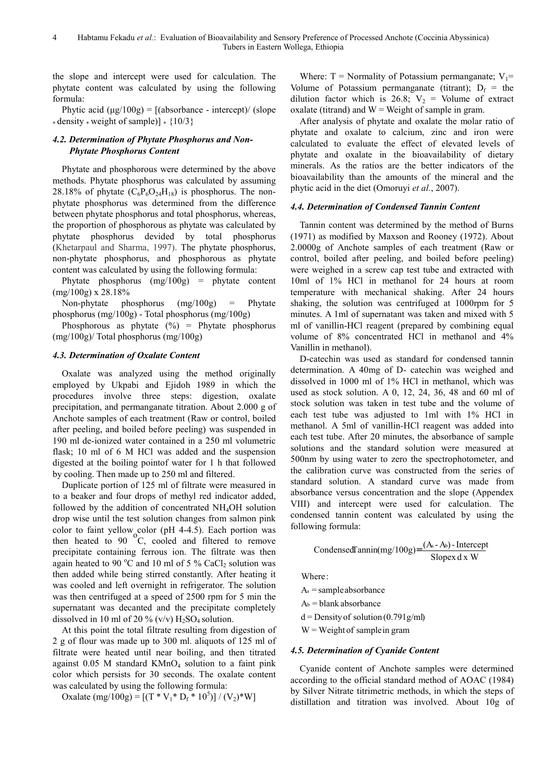the slope and intercept were used for calculation. The phytate content was calculated by using the following formula:

Phytic acid  $(\mu g/100g) = \frac{\mu g}{\sigma g}$  [(absorbance - intercept)/ (slope \* density \* weight of sample)] \*  ${10/3}$ 

## *4.2. Determination of Phytate Phosphorus and Non-Phytate Phosphorus Content*

Phytate and phosphorous were determined by the above methods. Phytate phosphorus was calculated by assuming 28.18% of phytate  $(C_6P_6O_{24}H_{18})$  is phosphorus. The nonphytate phosphorus was determined from the difference between phytate phosphorus and total phosphorus, whereas, the proportion of phosphorous as phytate was calculated by phytate phosphorus devided by total phosphorus (Khetarpaul and Sharma, 1997). The phytate phosphorus, non-phytate phosphorus, and phosphorous as phytate content was calculated by using the following formula:

Phytate phosphorus (mg/100g) = phytate content  $(mg/100g)$  x 28.18%

Non-phytate phosphorus (mg/100g) = Phytate phosphorus (mg/100g) - Total phosphorus (mg/100g)

Phosphorous as phytate  $(\%)$  = Phytate phosphorus (mg/100g)/ Total phosphorus (mg/100g)

## *4.3. Determination of Oxalate Content*

Oxalate was analyzed using the method originally employed by Ukpabi and Ejidoh 1989 in which the procedures involve three steps: digestion, oxalate precipitation, and permanganate titration. About 2.000 g of Anchote samples of each treatment (Raw or control, boiled after peeling, and boiled before peeling) was suspended in 190 ml de-ionized water contained in a 250 ml volumetric flask; 10 ml of 6 M HCl was added and the suspension digested at the boiling pointof water for 1 h that followed by cooling. Then made up to 250 ml and filtered.

Duplicate portion of 125 ml of filtrate were measured in to a beaker and four drops of methyl red indicator added, followed by the addition of concentrated  $NH<sub>4</sub>OH$  solution drop wise until the test solution changes from salmon pink color to faint yellow color (pH 4-4.5). Each portion was then heated to  $90\text{ °C}$ , cooled and filtered to remove precipitate containing ferrous ion. The filtrate was then again heated to 90  $^{\circ}$ C and 10 ml of 5 % CaCl<sub>2</sub> solution was then added while being stirred constantly. After heating it was cooled and left overnight in refrigerator. The solution was then centrifuged at a speed of 2500 rpm for 5 min the supernatant was decanted and the precipitate completely dissolved in 10 ml of 20 % (v/v)  $H_2SO_4$  solution.

At this point the total filtrate resulting from digestion of 2 g of flour was made up to 300 ml. aliquots of 125 ml of filtrate were heated until near boiling, and then titrated against  $0.05$  M standard  $KMnO<sub>4</sub>$  solution to a faint pink color which persists for 30 seconds. The oxalate content was calculated by using the following formula:

Oxalate (mg/100g) =  $[(T * V_1 * D_f * 10^5)] / (V_2) * W]$ 

Where:  $T =$  Normality of Potassium permanganate;  $V_1$ = Volume of Potassium permanganate (titrant);  $D_f$  = the dilution factor which is 26.8;  $V_2$  = Volume of extract oxalate (titrand) and  $W = Weight of sample in gram.$ 

After analysis of phytate and oxalate the molar ratio of phytate and oxalate to calcium, zinc and iron were calculated to evaluate the effect of elevated levels of phytate and oxalate in the bioavailability of dietary minerals. As the ratios are the better indicators of the bioavailability than the amounts of the mineral and the phytic acid in the diet (Omoruyi *et al.*, 2007).

## *4.4. Determination of Condensed Tannin Content*

Tannin content was determined by the method of Burns (1971) as modified by Maxson and Rooney (1972). About 2.0000g of Anchote samples of each treatment (Raw or control, boiled after peeling, and boiled before peeling) were weighed in a screw cap test tube and extracted with 10ml of 1% HCl in methanol for 24 hours at room temperature with mechanical shaking. After 24 hours shaking, the solution was centrifuged at 1000rpm for 5 minutes. A 1ml of supernatant was taken and mixed with 5 ml of vanillin-HCl reagent (prepared by combining equal volume of 8% concentrated HCl in methanol and 4% Vanillin in methanol).

D-catechin was used as standard for condensed tannin determination. A 40mg of D- catechin was weighed and dissolved in 1000 ml of 1% HCl in methanol, which was used as stock solution. A 0, 12, 24, 36, 48 and 60 ml of stock solution was taken in test tube and the volume of each test tube was adjusted to 1ml with 1% HCl in methanol. A 5ml of vanillin-HCl reagent was added into each test tube. After 20 minutes, the absorbance of sample solutions and the standard solution were measured at 500nm by using water to zero the spectrophotometer, and the calibration curve was constructed from the series of standard solution. A standard curve was made from absorbance versus concentration and the slope (Appendex VIII) and intercept were used for calculation. The condensed tannin content was calculated by using the following formula:

$$
Condensed Tannin(mg/100g) = \frac{(A_s - A_b) - Intercept}{Slopez dx W}
$$

Where:

 $A_s$  = sample absorbance

 $A<sub>b</sub>$  = blank absorbance

 $d =$  Density of solution (0.791g/ml)

 $W = Weight of sample in gram$ 

## *4.5. Determination of Cyanide Content*

Cyanide content of Anchote samples were determined according to the official standard method of AOAC (1984) by Silver Nitrate titrimetric methods, in which the steps of distillation and titration was involved. About 10g of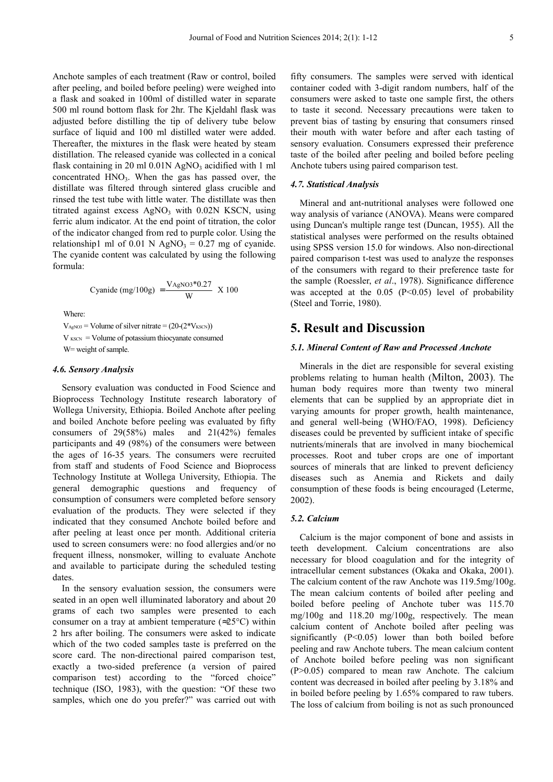Anchote samples of each treatment (Raw or control, boiled after peeling, and boiled before peeling) were weighed into a flask and soaked in 100ml of distilled water in separate 500 ml round bottom flask for 2hr. The Kjeldahl flask was adjusted before distilling the tip of delivery tube below surface of liquid and 100 ml distilled water were added. Thereafter, the mixtures in the flask were heated by steam distillation. The released cyanide was collected in a conical flask containing in 20 ml  $0.01N$  AgNO<sub>3</sub> acidified with 1 ml concentrated  $HNO<sub>3</sub>$ . When the gas has passed over, the distillate was filtered through sintered glass crucible and rinsed the test tube with little water. The distillate was then titrated against excess  $AgNO<sub>3</sub>$  with 0.02N KSCN, using ferric alum indicator. At the end point of titration, the color of the indicator changed from red to purple color. Using the relationship1 ml of 0.01 N AgNO<sub>3</sub> = 0.27 mg of cyanide. The cyanide content was calculated by using the following formula:

Cyanide (mg/100g) = 
$$
\frac{V_{\text{AgNO3}}*0.27}{W}
$$
 X 100

Where:

 $V_{\text{AgNO3}}$  = Volume of silver nitrate =  $(20-(2*V_{\text{KSCN}}))$  $V_{KSCN}$  = Volume of potassium thiocyanate consumed W= weight of sample.

#### *4.6. Sensory Analysis*

Sensory evaluation was conducted in Food Science and Bioprocess Technology Institute research laboratory of Wollega University, Ethiopia. Boiled Anchote after peeling and boiled Anchote before peeling was evaluated by fifty consumers of 29(58%) males and 21(42%) females participants and 49 (98%) of the consumers were between the ages of 16-35 years. The consumers were recruited from staff and students of Food Science and Bioprocess Technology Institute at Wollega University, Ethiopia. The general demographic questions and frequency of consumption of consumers were completed before sensory evaluation of the products. They were selected if they indicated that they consumed Anchote boiled before and after peeling at least once per month. Additional criteria used to screen consumers were: no food allergies and/or no frequent illness, nonsmoker, willing to evaluate Anchote and available to participate during the scheduled testing dates.

In the sensory evaluation session, the consumers were seated in an open well illuminated laboratory and about 20 grams of each two samples were presented to each consumer on a tray at ambient temperature ( $\approx$ 25°C) within 2 hrs after boiling. The consumers were asked to indicate which of the two coded samples taste is preferred on the score card. The non-directional paired comparison test, exactly a two-sided preference (a version of paired comparison test) according to the "forced choice" technique (ISO, 1983), with the question: "Of these two samples, which one do you prefer?" was carried out with

fifty consumers. The samples were served with identical container coded with 3-digit random numbers, half of the consumers were asked to taste one sample first, the others to taste it second. Necessary precautions were taken to prevent bias of tasting by ensuring that consumers rinsed their mouth with water before and after each tasting of sensory evaluation. Consumers expressed their preference taste of the boiled after peeling and boiled before peeling Anchote tubers using paired comparison test.

#### *4.7. Statistical Analysis*

Mineral and ant-nutritional analyses were followed one way analysis of variance (ANOVA). Means were compared using Duncan's multiple range test (Duncan, 1955). All the statistical analyses were performed on the results obtained using SPSS version 15.0 for windows. Also non-directional paired comparison t-test was used to analyze the responses of the consumers with regard to their preference taste for the sample (Roessler, *et al*., 1978). Significance difference was accepted at the  $0.05$  (P<0.05) level of probability (Steel and Torrie, 1980).

## **5. Result and Discussion**

#### *5.1. Mineral Content of Raw and Processed Anchote*

Minerals in the diet are responsible for several existing problems relating to human health (Milton, 2003). The human body requires more than twenty two mineral elements that can be supplied by an appropriate diet in varying amounts for proper growth, health maintenance, and general well-being (WHO/FAO, 1998). Deficiency diseases could be prevented by sufficient intake of specific nutrients/minerals that are involved in many biochemical processes. Root and tuber crops are one of important sources of minerals that are linked to prevent deficiency diseases such as Anemia and Rickets and daily consumption of these foods is being encouraged (Leterme, 2002).

#### *5.2. Calcium*

Calcium is the major component of bone and assists in teeth development. Calcium concentrations are also necessary for blood coagulation and for the integrity of intracellular cement substances (Okaka and Okaka, 2001). The calcium content of the raw Anchote was 119.5mg/100g. The mean calcium contents of boiled after peeling and boiled before peeling of Anchote tuber was 115.70 mg/100g and 118.20 mg/100g, respectively. The mean calcium content of Anchote boiled after peeling was significantly (P<0.05) lower than both boiled before peeling and raw Anchote tubers. The mean calcium content of Anchote boiled before peeling was non significant (P>0.05) compared to mean raw Anchote. The calcium content was decreased in boiled after peeling by 3.18% and in boiled before peeling by 1.65% compared to raw tubers. The loss of calcium from boiling is not as such pronounced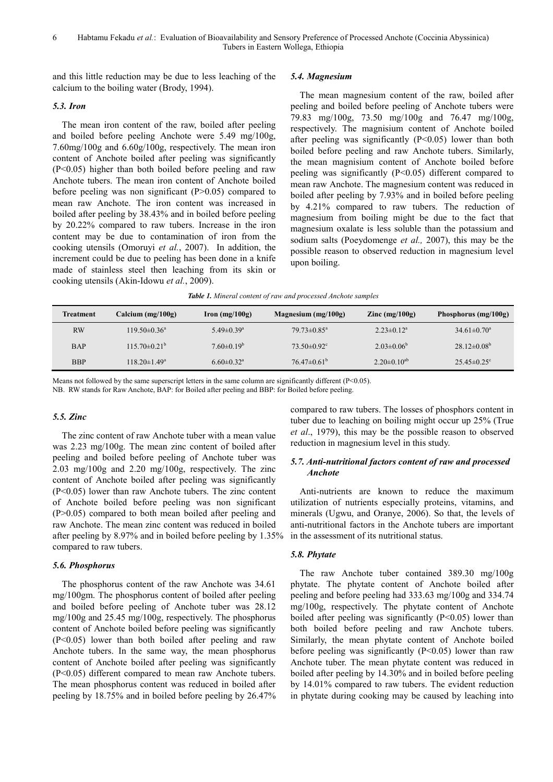and this little reduction may be due to less leaching of the calcium to the boiling water (Brody, 1994).

#### *5.3. Iron*

The mean iron content of the raw, boiled after peeling and boiled before peeling Anchote were 5.49 mg/100g, 7.60mg/100g and 6.60g/100g, respectively. The mean iron content of Anchote boiled after peeling was significantly (P<0.05) higher than both boiled before peeling and raw Anchote tubers. The mean iron content of Anchote boiled before peeling was non significant  $(P>0.05)$  compared to mean raw Anchote. The iron content was increased in boiled after peeling by 38.43% and in boiled before peeling by 20.22% compared to raw tubers. Increase in the iron content may be due to contamination of iron from the cooking utensils (Omoruyi *et al.*, 2007). In addition, the increment could be due to peeling has been done in a knife made of stainless steel then leaching from its skin or cooking utensils (Akin-Idowu *et al.*, 2009).

#### *5.4. Magnesium*

The mean magnesium content of the raw, boiled after peeling and boiled before peeling of Anchote tubers were 79.83 mg/100g, 73.50 mg/100g and 76.47 mg/100g, respectively. The magnisium content of Anchote boiled after peeling was significantly  $(P<0.05)$  lower than both boiled before peeling and raw Anchote tubers. Similarly, the mean magnisium content of Anchote boiled before peeling was significantly (P<0.05) different compared to mean raw Anchote. The magnesium content was reduced in boiled after peeling by 7.93% and in boiled before peeling by 4.21% compared to raw tubers. The reduction of magnesium from boiling might be due to the fact that magnesium oxalate is less soluble than the potassium and sodium salts (Poeydomenge *et al.,* 2007), this may be the possible reason to observed reduction in magnesium level upon boiling.

|  |  | Table 1. Mineral content of raw and processed Anchote samples |  |
|--|--|---------------------------------------------------------------|--|
|  |  |                                                               |  |

| Treatment  | Calcium (mg/100g)       | $\Gamma$ Iron (mg/100g)      | Magnesium $(mg/100g)$         | $\text{Zinc (mg/100g)}$ | Phosphorus $(mg/100g)$   |
|------------|-------------------------|------------------------------|-------------------------------|-------------------------|--------------------------|
| RW         | $119.50\pm0.36^{\circ}$ | $5.49 \pm 0.39$ <sup>a</sup> | $79.73 \pm 0.85$ <sup>a</sup> | $2.23 \pm 0.12^a$       | $34.61 \pm 0.70^{\circ}$ |
| <b>BAP</b> | $115.70\pm0.21^{\circ}$ | $7.60\pm0.19^b$              | $73.50\pm0.92^{\circ}$        | $2.03 \pm 0.06^b$       | $28.12\pm0.08^b$         |
| <b>BBP</b> | $118.20 \pm 1.49^a$     | $6.60 \pm 0.32$ <sup>a</sup> | $76.47\pm0.61^{\rm b}$        | $2.20\pm0.10^{ab}$      | $25.45\pm0.25^{\circ}$   |

Means not followed by the same superscript letters in the same column are significantly different  $(P<0.05)$ .

NB. RW stands for Raw Anchote, BAP: for Boiled after peeling and BBP: for Boiled before peeling.

#### *5.5. Zinc*

The zinc content of raw Anchote tuber with a mean value was 2.23 mg/100g. The mean zinc content of boiled after peeling and boiled before peeling of Anchote tuber was 2.03 mg/100g and 2.20 mg/100g, respectively. The zinc content of Anchote boiled after peeling was significantly (P<0.05) lower than raw Anchote tubers. The zinc content of Anchote boiled before peeling was non significant (P>0.05) compared to both mean boiled after peeling and raw Anchote. The mean zinc content was reduced in boiled after peeling by 8.97% and in boiled before peeling by 1.35% compared to raw tubers.

#### *5.6. Phosphorus*

The phosphorus content of the raw Anchote was 34.61 mg/100gm. The phosphorus content of boiled after peeling and boiled before peeling of Anchote tuber was 28.12 mg/100g and 25.45 mg/100g, respectively. The phosphorus content of Anchote boiled before peeling was significantly (P<0.05) lower than both boiled after peeling and raw Anchote tubers. In the same way, the mean phosphorus content of Anchote boiled after peeling was significantly (P<0.05) different compared to mean raw Anchote tubers. The mean phosphorus content was reduced in boiled after peeling by 18.75% and in boiled before peeling by 26.47% compared to raw tubers. The losses of phosphors content in tuber due to leaching on boiling might occur up 25% (True *et al*., 1979), this may be the possible reason to observed reduction in magnesium level in this study.

### *5.7. Anti-nutritional factors content of raw and processed Anchote*

Anti-nutrients are known to reduce the maximum utilization of nutrients especially proteins, vitamins, and minerals (Ugwu, and Oranye, 2006). So that, the levels of anti-nutritional factors in the Anchote tubers are important in the assessment of its nutritional status.

#### *5.8. Phytate*

The raw Anchote tuber contained 389.30 mg/100g phytate. The phytate content of Anchote boiled after peeling and before peeling had 333.63 mg/100g and 334.74 mg/100g, respectively. The phytate content of Anchote boiled after peeling was significantly  $(P<0.05)$  lower than both boiled before peeling and raw Anchote tubers. Similarly, the mean phytate content of Anchote boiled before peeling was significantly  $(P<0.05)$  lower than raw Anchote tuber. The mean phytate content was reduced in boiled after peeling by 14.30% and in boiled before peeling by 14.01% compared to raw tubers. The evident reduction in phytate during cooking may be caused by leaching into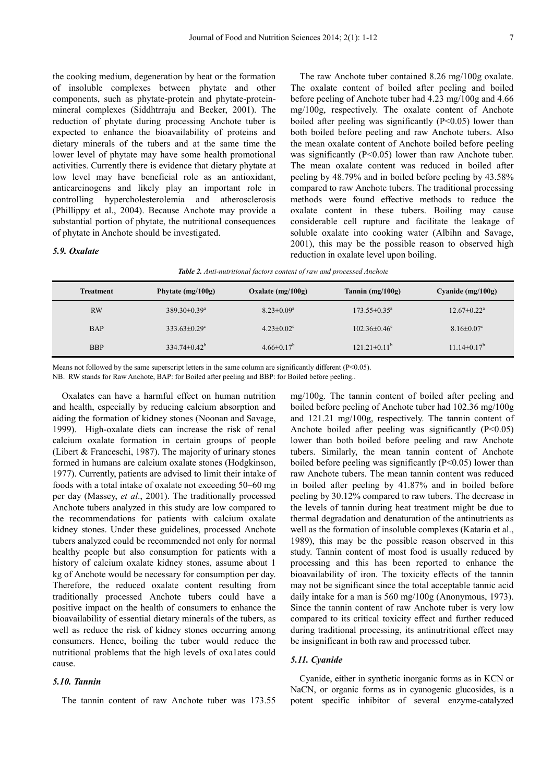the cooking medium, degeneration by heat or the formation of insoluble complexes between phytate and other components, such as phytate-protein and phytate-proteinmineral complexes (Siddhtrraju and Becker, 2001). The reduction of phytate during processing Anchote tuber is expected to enhance the bioavailability of proteins and dietary minerals of the tubers and at the same time the lower level of phytate may have some health promotional activities. Currently there is evidence that dietary phytate at low level may have beneficial role as an antioxidant, anticarcinogens and likely play an important role in controlling hypercholesterolemia and atherosclerosis (Phillippy et al., 2004). Because Anchote may provide a substantial portion of phytate, the nutritional consequences of phytate in Anchote should be investigated.

#### *5.9. Oxalate*

The raw Anchote tuber contained 8.26 mg/100g oxalate. The oxalate content of boiled after peeling and boiled before peeling of Anchote tuber had 4.23 mg/100g and 4.66 mg/100g, respectively. The oxalate content of Anchote boiled after peeling was significantly  $(P<0.05)$  lower than both boiled before peeling and raw Anchote tubers. Also the mean oxalate content of Anchote boiled before peeling was significantly  $(P<0.05)$  lower than raw Anchote tuber. The mean oxalate content was reduced in boiled after peeling by 48.79% and in boiled before peeling by 43.58% compared to raw Anchote tubers. The traditional processing methods were found effective methods to reduce the oxalate content in these tubers. Boiling may cause considerable cell rupture and facilitate the leakage of soluble oxalate into cooking water (Albihn and Savage, 2001), this may be the possible reason to observed high reduction in oxalate level upon boiling.

| Table 2. Anti-nutritional factors content of raw and processed Anchote |  |  |  |  |
|------------------------------------------------------------------------|--|--|--|--|
|------------------------------------------------------------------------|--|--|--|--|

| Treatment  | Phytate $(mg/100g)$          | Oxalate $(mg/100g)$          | Tannin $(mg/100g)$      | Cyanide $(mg/100g)$           |
|------------|------------------------------|------------------------------|-------------------------|-------------------------------|
| <b>RW</b>  | $389.30\pm0.39^{\mathrm{a}}$ | $8.23 \pm 0.09^a$            | $173.55 \pm 0.35^a$     | $12.67 \pm 0.22$ <sup>a</sup> |
| <b>BAP</b> | $333.63 \pm 0.29$ °          | $4.23 \pm 0.02$ <sup>c</sup> | $102.36\pm0.46^{\circ}$ | $8.16 \pm 0.07$ <sup>c</sup>  |
| <b>BBP</b> | $334.74 \pm 0.42^b$          | $4.66 \pm 0.17^b$            | $121.21 \pm 0.11^b$     | $11.14 \pm 0.17^b$            |

Means not followed by the same superscript letters in the same column are significantly different (P<0.05).

NB. RW stands for Raw Anchote, BAP: for Boiled after peeling and BBP: for Boiled before peeling..

Oxalates can have a harmful effect on human nutrition and health, especially by reducing calcium absorption and aiding the formation of kidney stones (Noonan and Savage, 1999). High-oxalate diets can increase the risk of renal calcium oxalate formation in certain groups of people (Libert & Franceschi, 1987). The majority of urinary stones formed in humans are calcium oxalate stones (Hodgkinson, 1977). Currently, patients are advised to limit their intake of foods with a total intake of oxalate not exceeding 50–60 mg per day (Massey, *et al*., 2001). The traditionally processed Anchote tubers analyzed in this study are low compared to the recommendations for patients with calcium oxalate kidney stones. Under these guidelines, processed Anchote tubers analyzed could be recommended not only for normal healthy people but also consumption for patients with a history of calcium oxalate kidney stones, assume about 1 kg of Anchote would be necessary for consumption per day. Therefore, the reduced oxalate content resulting from traditionally processed Anchote tubers could have a positive impact on the health of consumers to enhance the bioavailability of essential dietary minerals of the tubers, as well as reduce the risk of kidney stones occurring among consumers. Hence, boiling the tuber would reduce the nutritional problems that the high levels of oxa1ates could cause.

#### *5.10. Tannin*

The tannin content of raw Anchote tuber was 173.55

mg/100g. The tannin content of boiled after peeling and boiled before peeling of Anchote tuber had 102.36 mg/100g and 121.21 mg/100g, respectively. The tannin content of Anchote boiled after peeling was significantly  $(P<0.05)$ lower than both boiled before peeling and raw Anchote tubers. Similarly, the mean tannin content of Anchote boiled before peeling was significantly  $(P<0.05)$  lower than raw Anchote tubers. The mean tannin content was reduced in boiled after peeling by 41.87% and in boiled before peeling by 30.12% compared to raw tubers. The decrease in the levels of tannin during heat treatment might be due to thermal degradation and denaturation of the antinutrients as well as the formation of insoluble complexes (Kataria et al., 1989), this may be the possible reason observed in this study. Tannin content of most food is usually reduced by processing and this has been reported to enhance the bioavailability of iron. The toxicity effects of the tannin may not be significant since the total acceptable tannic acid daily intake for a man is 560 mg/100g (Anonymous, 1973). Since the tannin content of raw Anchote tuber is very low compared to its critical toxicity effect and further reduced during traditional processing, its antinutritional effect may be insignificant in both raw and processed tuber.

#### *5.11. Cyanide*

Cyanide, either in synthetic inorganic forms as in KCN or NaCN, or organic forms as in cyanogenic glucosides, is a potent specific inhibitor of several enzyme-catalyzed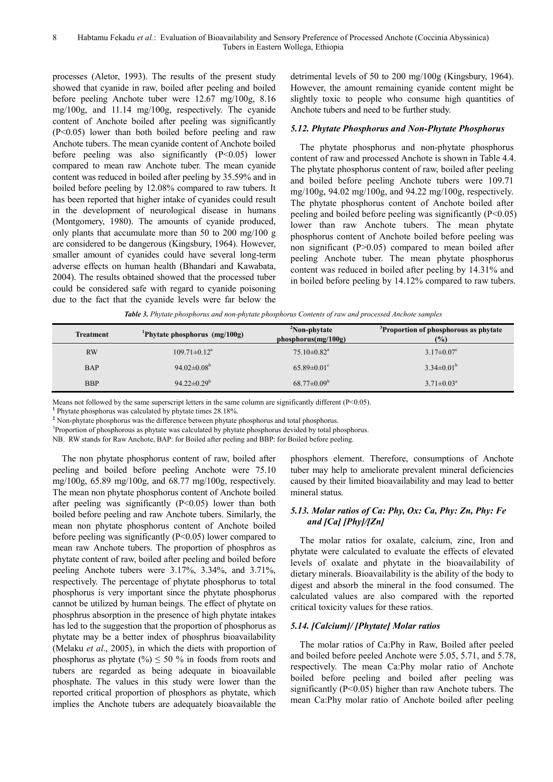processes (Aletor, 1993). The results of the present study showed that cyanide in raw, boiled after peeling and boiled before peeling Anchote tuber were 12.67 mg/100g, 8.16 mg/100g, and 11.14 mg/100g, respectively. The cyanide content of Anchote boiled after peeling was significantly (P<0.05) lower than both boiled before peeling and raw Anchote tubers. The mean cyanide content of Anchote boiled before peeling was also significantly (P<0.05) lower compared to mean raw Anchote tuber. The mean cyanide content was reduced in boiled after peeling by 35.59% and in boiled before peeling by 12.08% compared to raw tubers. It has been reported that higher intake of cyanides could result in the development of neurological disease in humans (Montgomery, 1980). The amounts of cyanide produced, only plants that accumulate more than 50 to 200 mg/100 g are considered to be dangerous (Kingsbury, 1964). However, smaller amount of cyanides could have several long-term adverse effects on human health (Bhandari and Kawabata, 2004). The results obtained showed that the processed tuber could be considered safe with regard to cyanide poisoning due to the fact that the cyanide levels were far below the detrimental levels of 50 to 200 mg/100g (Kingsbury, 1964). However, the amount remaining cyanide content might be slightly toxic to people who consume high quantities of Anchote tubers and need to be further study.

#### *5.12. Phytate Phosphorus and Non-Phytate Phosphorus*

The phytate phosphorus and non-phytate phosphorus content of raw and processed Anchote is shown in Table 4.4. The phytate phosphorus content of raw, boiled after peeling and boiled before peeling Anchote tubers were 109.71 mg/100g, 94.02 mg/100g, and 94.22 mg/100g, respectively. The phytate phosphorus content of Anchote boiled after peeling and boiled before peeling was significantly (P<0.05) lower than raw Anchote tubers. The mean phytate phosphorus content of Anchote boiled before peeling was non significant (P>0.05) compared to mean boiled after peeling Anchote tuber. The mean phytate phosphorus content was reduced in boiled after peeling by 14.31% and in boiled before peeling by 14.12% compared to raw tubers.

*Table 3. Phytate phosphorus and non-phytate phosphorus Contents of raw and processed Anchote samples*

| <b>Treatment</b> | <sup>1</sup> Phytate phosphorus $(mg/100g)$ | <sup>2</sup> Non-phytate<br>phosphorus(mg/100g) | <sup>3</sup> Proportion of phosphorous as phytate<br>(%) |
|------------------|---------------------------------------------|-------------------------------------------------|----------------------------------------------------------|
| <b>RW</b>        | $109.71 \pm 0.12$ <sup>a</sup>              | $75.10\pm0.82$ <sup>a</sup>                     | $3.17 \pm 0.07$ °                                        |
| <b>BAP</b>       | 94.02 $\pm$ 0.08 <sup>b</sup>               | $65.89 \pm 0.01$ <sup>c</sup>                   | $3.34\pm0.01^{\rm b}$                                    |
| <b>BBP</b>       | $94.22 \pm 0.29^b$                          | $68.77 \pm 0.09^{\rm b}$                        | $3.71 \pm 0.03^a$                                        |

Means not followed by the same superscript letters in the same column are significantly different  $(P<0.05)$ .

**1** Phytate phosphorus was calculated by phytate times 28.18%.

<sup>2</sup> Non-phytate phosphorus was the difference between phytate phosphorus and total phosphorus.

<sup>3</sup>Proportion of phosphorous as phytate was calculated by phytate phosphorus devided by total phosphorus.

NB. RW stands for Raw Anchote, BAP: for Boiled after peeling and BBP: for Boiled before peeling.

The non phytate phosphorus content of raw, boiled after peeling and boiled before peeling Anchote were 75.10 mg/100g, 65.89 mg/100g, and 68.77 mg/100g, respectively. The mean non phytate phosphorus content of Anchote boiled after peeling was significantly  $(P<0.05)$  lower than both boiled before peeling and raw Anchote tubers. Similarly, the mean non phytate phosphorus content of Anchote boiled before peeling was significantly  $(P<0.05)$  lower compared to mean raw Anchote tubers. The proportion of phosphros as phytate content of raw, boiled after peeling and boiled before peeling Anchote tubers were 3.17%, 3.34%, and 3.71%, respectively. The percentage of phytate phosphorus to total phosphorus is very important since the phytate phosphorus cannot be utilized by human beings. The effect of phytate on phosphrus absorption in the presence of high phytate intakes has led to the suggestion that the proportion of phosphorus as phytate may be a better index of phosphrus bioavailability (Melaku *et al*., 2005), in which the diets with proportion of phosphorus as phytate  $(\frac{9}{6}) \le 50$  % in foods from roots and tubers are regarded as being adequate in bioavailable phosphate. The values in this study were lower than the reported critical proportion of phosphors as phytate, which implies the Anchote tubers are adequately bioavailable the

phosphors element. Therefore, consumptions of Anchote tuber may help to ameliorate prevalent mineral deficiencies caused by their limited bioavailability and may lead to better mineral status.

## *5.13. Molar ratios of Ca: Phy, Ox: Ca, Phy: Zn, Phy: Fe and [Ca] [Phy]/[Zn]*

The molar ratios for oxalate, calcium, zinc, Iron and phytate were calculated to evaluate the effects of elevated levels of oxalate and phytate in the bioavailability of dietary minerals. Bioavailability is the ability of the body to digest and absorb the mineral in the food consumed. The calculated values are also compared with the reported critical toxicity values for these ratios.

#### *5.14. [Calcium]/ [Phytate] Molar ratios*

The molar ratios of Ca:Phy in Raw, Boiled after peeled and boiled before peeled Anchote were 5.05, 5.71, and 5.78, respectively. The mean Ca:Phy molar ratio of Anchote boiled before peeling and boiled after peeling was significantly  $(P<0.05)$  higher than raw Anchote tubers. The mean Ca:Phy molar ratio of Anchote boiled after peeling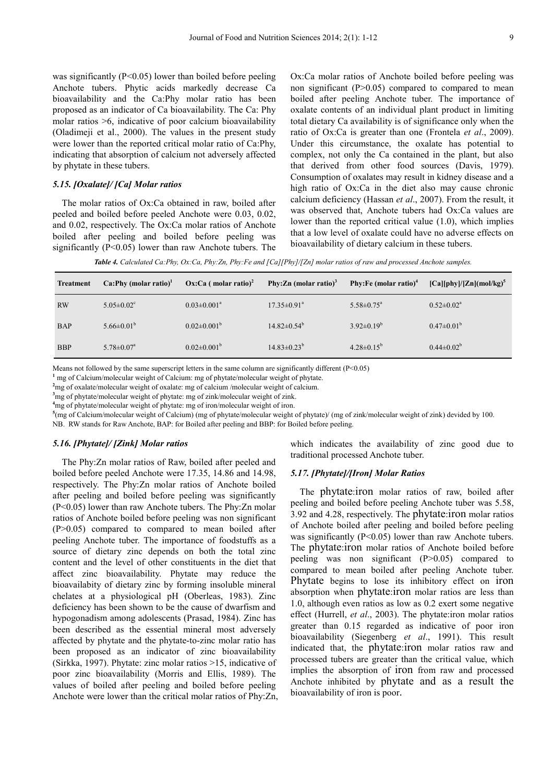was significantly  $(P<0.05)$  lower than boiled before peeling Anchote tubers. Phytic acids markedly decrease Ca bioavailability and the Ca:Phy molar ratio has been proposed as an indicator of Ca bioavailability. The Ca: Phy molar ratios >6, indicative of poor calcium bioavailability (Oladimeji et al., 2000). The values in the present study were lower than the reported critical molar ratio of Ca:Phy, indicating that absorption of calcium not adversely affected by phytate in these tubers.

#### *5.15. [Oxalate]/ [Ca] Molar ratios*

The molar ratios of Ox:Ca obtained in raw, boiled after peeled and boiled before peeled Anchote were 0.03, 0.02, and 0.02, respectively. The Ox:Ca molar ratios of Anchote boiled after peeling and boiled before peeling was significantly (P<0.05) lower than raw Anchote tubers. The

Ox:Ca molar ratios of Anchote boiled before peeling was non significant  $(P>0.05)$  compared to compared to mean boiled after peeling Anchote tuber. The importance of oxalate contents of an individual plant product in limiting total dietary Ca availability is of significance only when the ratio of Ox:Ca is greater than one (Frontela *et al*., 2009). Under this circumstance, the oxalate has potential to complex, not only the Ca contained in the plant, but also that derived from other food sources (Davis, 1979). Consumption of oxalates may result in kidney disease and a high ratio of Ox:Ca in the diet also may cause chronic calcium deficiency (Hassan *et al*., 2007). From the result, it was observed that, Anchote tubers had Ox:Ca values are lower than the reported critical value (1.0), which implies that a low level of oxalate could have no adverse effects on bioavailability of dietary calcium in these tubers.

*Table 4. Calculated Ca:Phy, Ox:Ca, Phy:Zn, Phy:Fe and [Ca][Phy]/[Zn] molar ratios of raw and processed Anchote samples.* 

| <b>Treatment</b> | Ca:Phy (molar ratio) <sup>1</sup> | Ox:Ca (molar ratio) <sup>2</sup> | Phy: Zn (molar ratio) <sup>3</sup> | Phy: Fe (molar ratio) <sup>4</sup> | $[Ca][phy]/[Zn](mol/kg)^5$ |
|------------------|-----------------------------------|----------------------------------|------------------------------------|------------------------------------|----------------------------|
| <b>RW</b>        | $5.05 \pm 0.02$ <sup>c</sup>      | $0.03 \pm 0.001^a$               | $17.35 \pm 0.91$ <sup>a</sup>      | $5.58 \pm 0.75$ <sup>a</sup>       | $0.52 \pm 0.02^a$          |
| <b>BAP</b>       | $5.66 \pm 0.01^b$                 | $0.02 \pm 0.001^b$               | $14.82 \pm 0.54^{\circ}$           | $3.92 \pm 0.19^b$                  | $0.47 \pm 0.01^{\rm b}$    |
| <b>BBP</b>       | $5.78 \pm 0.07$ <sup>a</sup>      | $0.02 \pm 0.001^{\rm b}$         | $14.83 \pm 0.23^b$                 | $4.28 \pm 0.15^{\circ}$            | $0.44 \pm 0.02^b$          |

Means not followed by the same superscript letters in the same column are significantly different (P<0.05)

**1** mg of Calcium/molecular weight of Calcium: mg of phytate/molecular weight of phytate.

**<sup>2</sup>**mg of oxalate/molecular weight of oxalate: mg of calcium /molecular weight of calcium.

<sup>3</sup>mg of phytate/molecular weight of phytate: mg of zink/molecular weight of zink.

<sup>4</sup>mg of phytate/molecular weight of phytate: mg of iron/molecular weight of iron.

**5** (mg of Calcium/molecular weight of Calcium) (mg of phytate/molecular weight of phytate)/ (mg of zink/molecular weight of zink) devided by 100.

NB. RW stands for Raw Anchote, BAP: for Boiled after peeling and BBP: for Boiled before peeling.

#### *5.16. [Phytate]/ [Zink] Molar ratios*

The Phy:Zn molar ratios of Raw, boiled after peeled and boiled before peeled Anchote were 17.35, 14.86 and 14.98, respectively. The Phy:Zn molar ratios of Anchote boiled after peeling and boiled before peeling was significantly (P<0.05) lower than raw Anchote tubers. The Phy:Zn molar ratios of Anchote boiled before peeling was non significant (P>0.05) compared to compared to mean boiled after peeling Anchote tuber. The importance of foodstuffs as a source of dietary zinc depends on both the total zinc content and the level of other constituents in the diet that affect zinc bioavailability. Phytate may reduce the bioavailabity of dietary zinc by forming insoluble mineral chelates at a physiological pH (Oberleas, 1983). Zinc deficiency has been shown to be the cause of dwarfism and hypogonadism among adolescents (Prasad, 1984). Zinc has been described as the essential mineral most adversely affected by phytate and the phytate-to-zinc molar ratio has been proposed as an indicator of zinc bioavailability (Sirkka, 1997). Phytate: zinc molar ratios >15, indicative of poor zinc bioavailability (Morris and Ellis, 1989). The values of boiled after peeling and boiled before peeling Anchote were lower than the critical molar ratios of Phy:Zn,

which indicates the availability of zinc good due to traditional processed Anchote tuber.

#### *5.17. [Phytate]/[Iron] Molar Ratios*

The phytate:iron molar ratios of raw, boiled after peeling and boiled before peeling Anchote tuber was 5.58, 3.92 and 4.28, respectively. The phytate:iron molar ratios of Anchote boiled after peeling and boiled before peeling was significantly  $(P<0.05)$  lower than raw Anchote tubers. The phytate:iron molar ratios of Anchote boiled before peeling was non significant (P>0.05) compared to compared to mean boiled after peeling Anchote tuber. Phytate begins to lose its inhibitory effect on iron absorption when phytate:iron molar ratios are less than 1.0, although even ratios as low as 0.2 exert some negative effect (Hurrell, *et al*., 2003). The phytate:iron molar ratios greater than 0.15 regarded as indicative of poor iron bioavailability (Siegenberg *et al*., 1991). This result indicated that, the phytate:iron molar ratios raw and processed tubers are greater than the critical value, which implies the absorption of iron from raw and processed Anchote inhibited by phytate and as a result the bioavailability of iron is poor.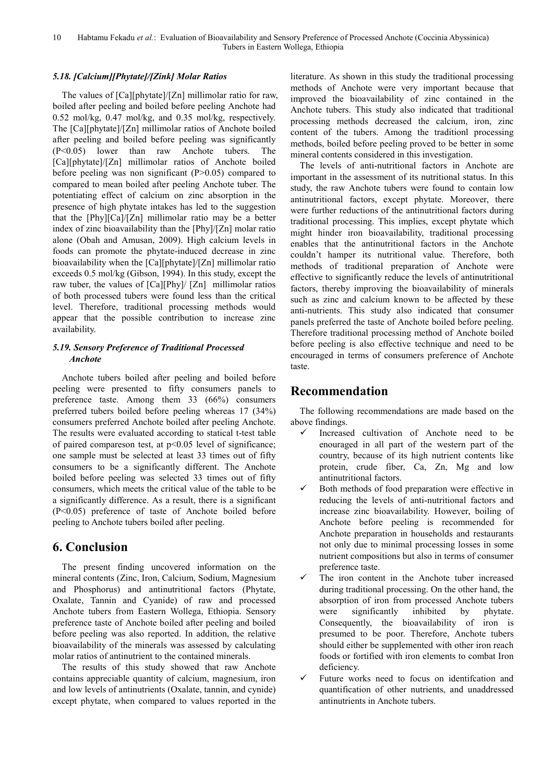## *5.18. [Calcium][Phytate]/[Zink] Molar Ratios*

The values of [Ca][phytate]/[Zn] millimolar ratio for raw, boiled after peeling and boiled before peeling Anchote had 0.52 mol/kg, 0.47 mol/kg, and 0.35 mol/kg, respectively. The [Ca][phytate]/[Zn] millimolar ratios of Anchote boiled after peeling and boiled before peeling was significantly (P<0.05) lower than raw Anchote tubers. The [Ca][phytate]/[Zn] millimolar ratios of Anchote boiled before peeling was non significant  $(P>0.05)$  compared to compared to mean boiled after peeling Anchote tuber. The potentiating effect of calcium on zinc absorption in the presence of high phytate intakes has led to the suggestion that the [Phy][Ca]/[Zn] millimolar ratio may be a better index of zinc bioavailability than the [Phy]/[Zn] molar ratio alone (Obah and Amusan, 2009). High calcium levels in foods can promote the phytate-induced decrease in zinc bioavailability when the [Ca][phytate]/[Zn] millimolar ratio exceeds 0.5 mol/kg (Gibson, 1994). In this study, except the raw tuber, the values of [Ca][Phy]/ [Zn] millimolar ratios of both processed tubers were found less than the critical level. Therefore, traditional processing methods would appear that the possible contribution to increase zinc availability.

## *5.19. Sensory Preference of Traditional Processed Anchote*

Anchote tubers boiled after peeling and boiled before peeling were presented to fifty consumers panels to preference taste. Among them 33 (66%) consumers preferred tubers boiled before peeling whereas 17 (34%) consumers preferred Anchote boiled after peeling Anchote. The results were evaluated according to statical t-test table of paired compareson test, at p<0.05 level of significance; one sample must be selected at least 33 times out of fifty consumers to be a significantly different. The Anchote boiled before peeling was selected 33 times out of fifty consumers, which meets the critical value of the table to be a significantly difference. As a result, there is a significant (P<0.05) preference of taste of Anchote boiled before peeling to Anchote tubers boiled after peeling.

## **6. Conclusion**

The present finding uncovered information on the mineral contents (Zinc, Iron, Calcium, Sodium, Magnesium and Phosphorus) and antinutritional factors (Phytate, Oxalate, Tannin and Cyanide) of raw and processed Anchote tubers from Eastern Wollega, Ethiopia. Sensory preference taste of Anchote boiled after peeling and boiled before peeling was also reported. In addition, the relative bioavailability of the minerals was assessed by calculating molar ratios of antinutrient to the contained minerals.

The results of this study showed that raw Anchote contains appreciable quantity of calcium, magnesium, iron and low levels of antinutrients (Oxalate, tannin, and cynide) except phytate, when compared to values reported in the literature. As shown in this study the traditional processing methods of Anchote were very important because that improved the bioavailability of zinc contained in the Anchote tubers. This study also indicated that traditional processing methods decreased the calcium, iron, zinc content of the tubers. Among the traditionl processing methods, boiled before peeling proved to be better in some mineral contents considered in this investigation.

The levels of anti-nutritional factors in Anchote are important in the assessment of its nutritional status. In this study, the raw Anchote tubers were found to contain low antinutritional factors, except phytate. Moreover, there were further reductions of the antinutritional factors during traditional processing. This implies, except phytate which might hinder iron bioavailability, traditional processing enables that the antinutritional factors in the Anchote couldn't hamper its nutritional value. Therefore, both methods of traditional preparation of Anchote were effective to significantly reduce the levels of antinutritional factors, thereby improving the bioavailability of minerals such as zinc and calcium known to be affected by these anti-nutrients. This study also indicated that consumer panels preferred the taste of Anchote boiled before peeling. Therefore traditional processing method of Anchote boiled before peeling is also effective technique and need to be encouraged in terms of consumers preference of Anchote taste.

## **Recommendation**

The following recommendations are made based on the above findings.

- $\checkmark$  Increased cultivation of Anchote need to be enouraged in all part of the western part of the country, because of its high nutrient contents like protein, crude fiber, Ca, Zn, Mg and low antinutritional factors.
- $\checkmark$  Both methods of food preparation were effective in reducing the levels of anti-nutritional factors and increase zinc bioavailability. However, boiling of Anchote before peeling is recommended for Anchote preparation in households and restaurants not only due to minimal processing losses in some nutrient compositions but also in terms of consumer preference taste.
- The iron content in the Anchote tuber increased during traditional processing. On the other hand, the absorption of iron from processed Anchote tubers were significantly inhibited by phytate. Consequently, the bioavailability of iron is presumed to be poor. Therefore, Anchote tubers should either be supplemented with other iron reach foods or fortified with iron elements to combat Iron deficiency.
- $\checkmark$  Future works need to focus on identifcation and quantification of other nutrients, and unaddressed antinutrients in Anchote tubers.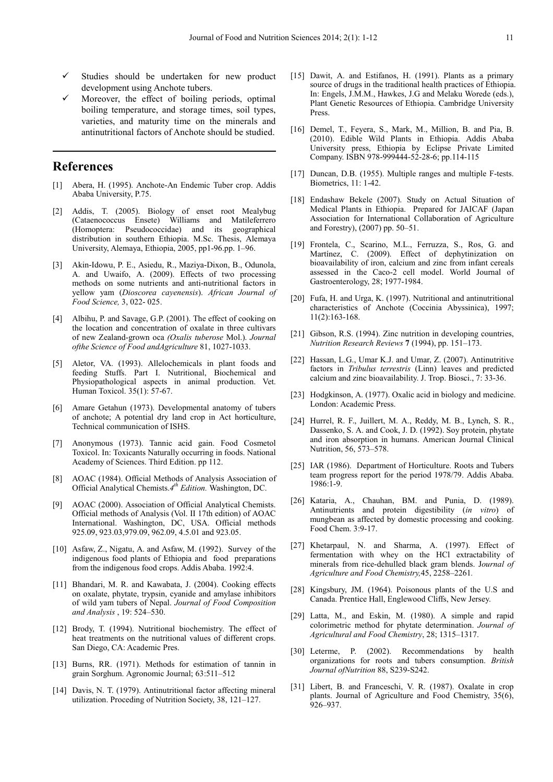- Studies should be undertaken for new product development using Anchote tubers.
- Moreover, the effect of boiling periods, optimal boiling temperature, and storage times, soil types, varieties, and maturity time on the minerals and antinutritional factors of Anchote should be studied.

## **References**

- [1] Abera, H. (1995). Anchote-An Endemic Tuber crop. Addis Ababa University, P.75.
- [2] Addis, T. (2005). Biology of enset root Mealybug (Cataenococcus Ensete) Williams and Matileferrero (Homoptera: Pseudococcidae) and its geographical distribution in southern Ethiopia. M.Sc. Thesis, Alemaya University, Alemaya, Ethiopia, 2005, pp1-96.pp. 1–96.
- [3] Akin-Idowu, P. E., Asiedu, R., Maziya-Dixon, B., Odunola, A. and Uwaifo, A. (2009). Effects of two processing methods on some nutrients and anti-nutritional factors in yellow yam (*Dioscorea cayenensis*). *African Journal of Food Science,* 3, 022- 025.
- [4] Albihu, P. and Savage, G.P. (2001). The effect of cooking on the location and concentration of oxalate in three cultivars of new Zealand-grown oca *(Oxalis tuberose* Mol.). *Journal ofthe Science of Food andAgriculture* 81, 1027-1033.
- [5] Aletor, VA. (1993). Allelochemicals in plant foods and feeding Stuffs. Part I. Nutritional, Biochemical and Physiopathological aspects in animal production. Vet. Human Toxicol. 35(1): 57-67.
- [6] Amare Getahun (1973). Developmental anatomy of tubers of anchote; A potential dry land crop in Act horticulture, Technical communication of ISHS.
- [7] Anonymous (1973). Tannic acid gain. Food Cosmetol Toxicol. In: Toxicants Naturally occurring in foods. National Academy of Sciences. Third Edition. pp 112.
- [8] AOAC (1984). Official Methods of Analysis Association of Official Analytical Chemists.*4 th Edition.* Washington, DC.
- [9] AOAC (2000). Association of Official Analytical Chemists. Official methods of Analysis (Vol. II 17th edition) of AOAC International. Washington, DC, USA. Official methods 925.09, 923.03,979.09, 962.09, 4.5.01 and 923.05.
- [10] Asfaw, Z., Nigatu, A. and Asfaw, M. (1992). Survey of the indigenous food plants of Ethiopia and food preparations from the indigenous food crops. Addis Ababa. 1992:4.
- [11] Bhandari, M. R. and Kawabata, J. (2004). Cooking effects on oxalate, phytate, trypsin, cyanide and amylase inhibitors of wild yam tubers of Nepal. *Journal of Food Composition and Analysis* , 19: 524–530.
- [12] Brody, T. (1994). Nutritional biochemistry. The effect of heat treatments on the nutritional values of different crops. San Diego, CA: Academic Pres.
- [13] Burns, RR. (1971). Methods for estimation of tannin in grain Sorghum. Agronomic Journal; 63:511–512
- [14] Davis, N. T. (1979). Antinutritional factor affecting mineral utilization. Proceding of Nutrition Society, 38, 121–127.
- [15] Dawit, A. and Estifanos, H. (1991). Plants as a primary source of drugs in the traditional health practices of Ethiopia. In: Engels, J.M.M., Hawkes, J.G and Melaku Worede (eds.), Plant Genetic Resources of Ethiopia. Cambridge University Press.
- [16] Demel, T., Feyera, S., Mark, M., Million, B. and Pia, B. (2010). Edible Wild Plants in Ethiopia. Addis Ababa University press, Ethiopia by Eclipse Private Limited Company. ISBN 978-999444-52-28-6; pp.114-115
- [17] Duncan, D.B. (1955). Multiple ranges and multiple F-tests. Biometrics, 11: 1-42.
- [18] Endashaw Bekele (2007). Study on Actual Situation of Medical Plants in Ethiopia. Prepared for JAICAF (Japan Association for International Collaboration of Agriculture and Forestry), (2007) pp. 50–51.
- [19] Frontela, C., Scarino, M.L., Ferruzza, S., Ros, G. and Martínez, C. (2009). Effect of dephytinization on bioavailability of iron, calcium and zinc from infant cereals assessed in the Caco-2 cell model. World Journal of Gastroenterology, 28; 1977-1984.
- [20] Fufa, H. and Urga, K. (1997). Nutritional and antinutritional characteristics of Anchote (Coccinia Abyssinica), 1997; 11(2):163-168.
- [21] Gibson, R.S. (1994). Zinc nutrition in developing countries, *Nutrition Research Reviews* **7** (1994), pp. 151–173.
- [22] Hassan, L.G., Umar K.J. and Umar, Z. (2007). Antinutritive factors in *Tribulus terrestris* (Linn) leaves and predicted calcium and zinc bioavailability. J. Trop. Biosci., 7: 33-36.
- [23] Hodgkinson, A. (1977). Oxalic acid in biology and medicine. London: Academic Press.
- [24] Hurrel, R. F., Juillert, M. A., Reddy, M. B., Lynch, S. R., Dassenko, S. A. and Cook, J. D. (1992). Soy protein, phytate and iron absorption in humans. American Journal Clinical Nutrition, 56, 573–578.
- [25] IAR (1986). Department of Horticulture. Roots and Tubers team progress report for the period 1978/79. Addis Ababa. 1986:1-9.
- [26] Kataria, A., Chauhan, BM. and Punia, D. (1989). Antinutrients and protein digestibility (*in vitro*) of mungbean as affected by domestic processing and cooking. Food Chem. 3:9-17.
- [27] Khetarpaul, N. and Sharma, A. (1997). Effect of fermentation with whey on the HCl extractability of minerals from rice-dehulled black gram blends. J*ournal of Agriculture and Food Chemistry,*45, 2258–2261*.*
- [28] Kingsbury, JM. (1964). Poisonous plants of the U.S and Canada. Prentice Hall, Englewood Cliffs, New Jersey.
- [29] Latta, M., and Eskin, M. (1980). A simple and rapid colorimetric method for phytate determination. *Journal of Agricultural and Food Chemistry*, 28; 1315–1317.
- [30] Leterme, P. (2002). Recommendations by health organizations for roots and tubers consumption. *British Journal ofNutrition* 88, S239-S242.
- [31] Libert, B. and Franceschi, V. R. (1987). Oxalate in crop plants. Journal of Agriculture and Food Chemistry, 35(6), 926–937.